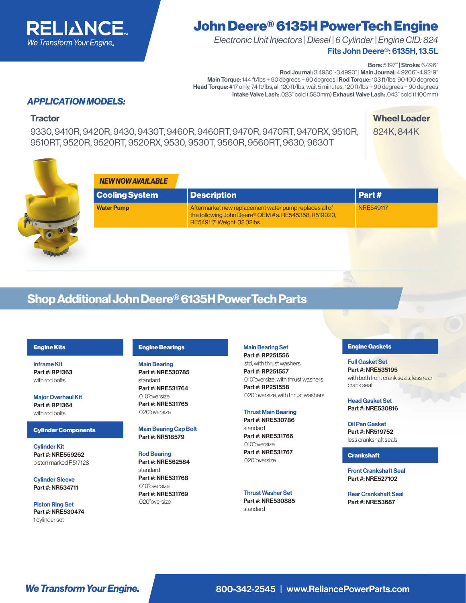

# John Deere® 6135H PowerTech Engine

Fits John Deere®: 6135H, 13.5L *Electronic Unit Injectors | Diesel | 6 Cylinder | Engine CID: 824*

Bore: 5.197" | Stroke: 6.496"

Rod Journal: 3.4980"-3.4990" | Main Journal: 4.9206"-4.9219" Main Torque: 144 ft/lbs + 90 degrees + 90 degrees | Rod Torque: 103 ft/lbs, 90-100 degrees Head Torque: #17 only, 74 ft/lbs, all 120 ft/lbs, wait 5 minutes, 120 ft/lbs + 90 degrees + 90 degrees Intake Valve Lash: .023" cold (.580mm) Exhaust Valve Lash: .043" cold (1.100mm)

### *APPLICATION MODELS:*

9330, 9410R, 9420R, 9430, 9430T, 9460R, 9460RT, 9470R, 9470RT, 9470RX, 9510R, 9510RT, 9520R, 9520RT, 9520RX, 9530, 9530T, 9560R, 9560RT, 9630, 9630T

**Tractor** Wheel Loader 824K, 844K



| <b>Description</b>                                                                                                                            | Part#            |
|-----------------------------------------------------------------------------------------------------------------------------------------------|------------------|
| Aftermarket new replacement water pump replaces all of<br>the following John Deere® OEM #'s: RE545358, R519020,<br>RE549117. Weight: 32.32lbs | <b>NRE549117</b> |
|                                                                                                                                               |                  |

## Shop Additional John Deere® 6135H PowerTech Parts

#### Engine Kits

Inframe Kit Part #: RP1363 with rod bolts

Major Overhaul Kit Part #: RP1364 with rod bolts

#### Cylinder Components

Cylinder Kit Part #: NRE559262 piston marked R517128

Cylinder Sleeve Part #: NR534711

Piston Ring Set Part #: NRE530474 1 cylinder set

#### Engine Bearings

Main Bearing Part #: NRE530785 standard Part #: NRE531764 .010"oversize Part #: NRE531765 .020"oversize

Main Bearing Cap Bolt Part #: NR518579

Rod Bearing Part #: NRE562584 standard Part #: NRE531768 .010"oversize Part #: NRE531769 .020"oversize

Main Bearing Set

Part #: RP251556 .std, with thrust washers Part #: RP251557 .010"oversize, with thrust washers Part #: RP251558 .020"oversize, with thrust washers

Thrust Main Bearing Part #: NRE530786 standard Part #: NRE531766

.010"oversize Part #: NRE531767 .020"oversize

Thrust Washer Set Part #: NRE530885 standard

#### Engine Gaskets

Full Gasket Set Part #: NRE535195 with both front crank seals, less rear crank seal

Head Gasket Set Part #: NRE530816

Oil Pan Gasket Part #: NR519752 less crankshaft seals

#### **Crankshaft**

Front Crankshaft Seal Part #: NRE527102

Rear Crankshaft Seal Part #: NRE53687

**We Transform Your Engine.** 800-342-2545 | www.ReliancePowerParts.com